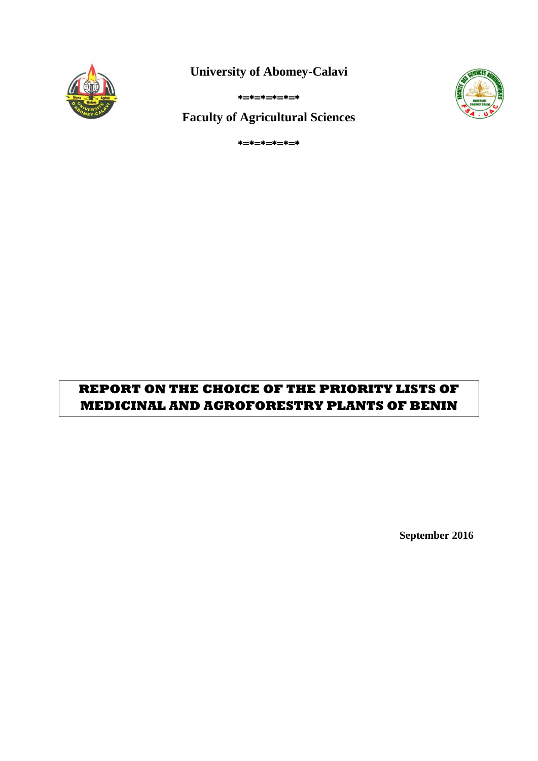

**University of Abomey-Calavi**





**Faculty of Agricultural Sciences**

 $* = * = * = * = * = *$ 

# **REPORT ON THE CHOICE OF THE PRIORITY LISTS OF MEDICINAL AND AGROFORESTRY PLANTS OF BENIN**

**September 2016**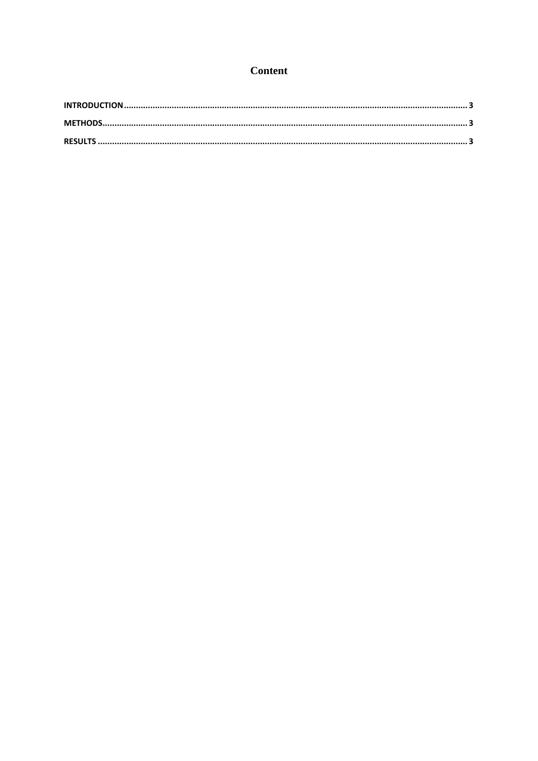#### **Content**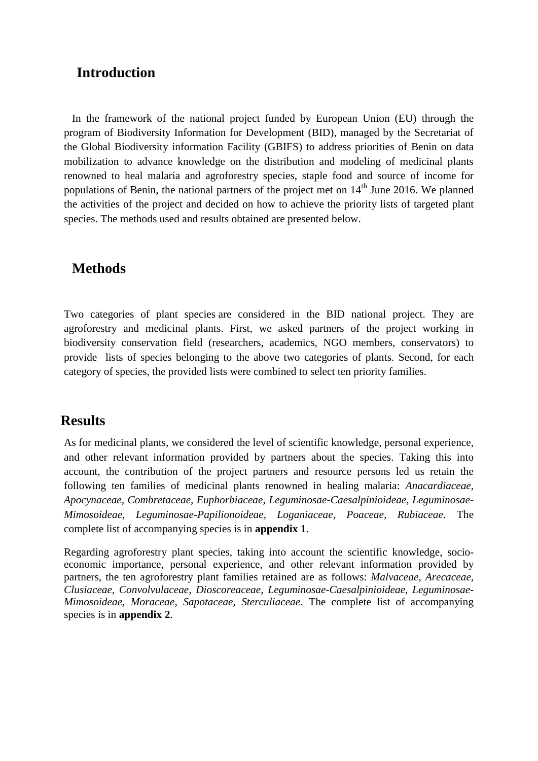### <span id="page-2-0"></span>**Introduction**

In the framework of the national project funded by European Union (EU) through the program of Biodiversity Information for Development (BID), managed by the Secretariat of the Global Biodiversity information Facility (GBIFS) to address priorities of Benin on data mobilization to advance knowledge on the distribution and modeling of medicinal plants renowned to heal malaria and agroforestry species, staple food and source of income for populations of Benin, the national partners of the project met on  $14<sup>th</sup>$  June 2016. We planned the activities of the project and decided on how to achieve the priority lists of targeted plant species. The methods used and results obtained are presented below.

## <span id="page-2-1"></span>**Methods**

Two categories of plant species are considered in the BID national project. They are agroforestry and medicinal plants. First, we asked partners of the project working in biodiversity conservation field (researchers, academics, NGO members, conservators) to provide lists of species belonging to the above two categories of plants. Second, for each category of species, the provided lists were combined to select ten priority families.

#### <span id="page-2-2"></span>**Results**

As for medicinal plants, we considered the level of scientific knowledge, personal experience, and other relevant information provided by partners about the species. Taking this into account, the contribution of the project partners and resource persons led us retain the following ten families of medicinal plants renowned in healing malaria: *Anacardiaceae, Apocynaceae, Combretaceae, Euphorbiaceae, Leguminosae-Caesalpinioideae, Leguminosae-Mimosoideae, Leguminosae-Papilionoideae, Loganiaceae, Poaceae, Rubiaceae*. The complete list of accompanying species is in **appendix 1**.

Regarding agroforestry plant species, taking into account the scientific knowledge, socioeconomic importance, personal experience, and other relevant information provided by partners, the ten agroforestry plant families retained are as follows: *Malvaceae, Arecaceae, Clusiaceae, Convolvulaceae, Dioscoreaceae, Leguminosae-Caesalpinioideae, Leguminosae-Mimosoideae, Moraceae, Sapotaceae, Sterculiaceae*. The complete list of accompanying species is in **appendix 2**.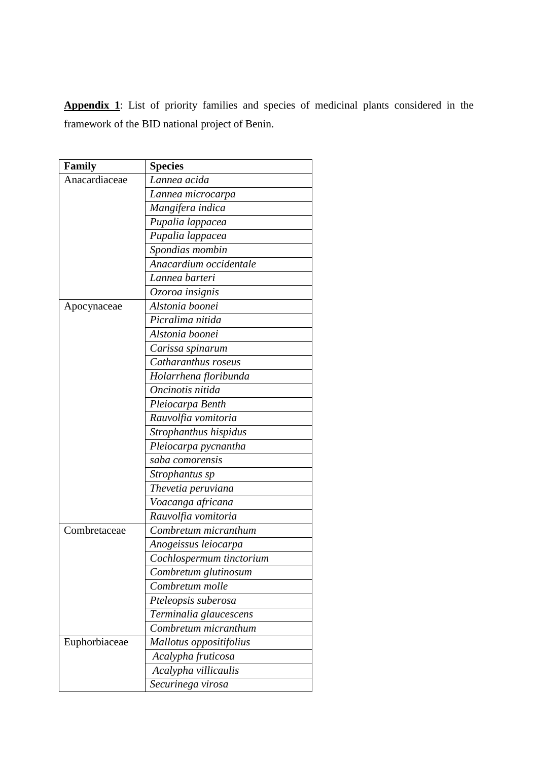**Appendix 1**: List of priority families and species of medicinal plants considered in the framework of the BID national project of Benin.

| Family        | <b>Species</b>           |
|---------------|--------------------------|
| Anacardiaceae | Lannea acida             |
|               | Lannea microcarpa        |
|               | Mangifera indica         |
|               | Pupalia lappacea         |
|               | Pupalia lappacea         |
|               | Spondias mombin          |
|               | Anacardium occidentale   |
|               | Lannea barteri           |
|               | Ozoroa insignis          |
| Apocynaceae   | Alstonia boonei          |
|               | Picralima nitida         |
|               | Alstonia boonei          |
|               | Carissa spinarum         |
|               | Catharanthus roseus      |
|               | Holarrhena floribunda    |
|               | Oncinotis nitida         |
|               | Pleiocarpa Benth         |
|               | Rauvolfia vomitoria      |
|               | Strophanthus hispidus    |
|               | Pleiocarpa pycnantha     |
|               | saba comorensis          |
|               | Strophantus sp           |
|               | Thevetia peruviana       |
|               | Voacanga africana        |
|               | Rauvolfia vomitoria      |
| Combretaceae  | Combretum micranthum     |
|               | Anogeissus leiocarpa     |
|               | Cochlospermum tinctorium |
|               | Combretum glutinosum     |
|               | Combretum molle          |
|               | Pteleopsis suberosa      |
|               | Terminalia glaucescens   |
|               | Combretum micranthum     |
| Euphorbiaceae | Mallotus oppositifolius  |
|               | Acalypha fruticosa       |
|               | Acalypha villicaulis     |
|               | Securinega virosa        |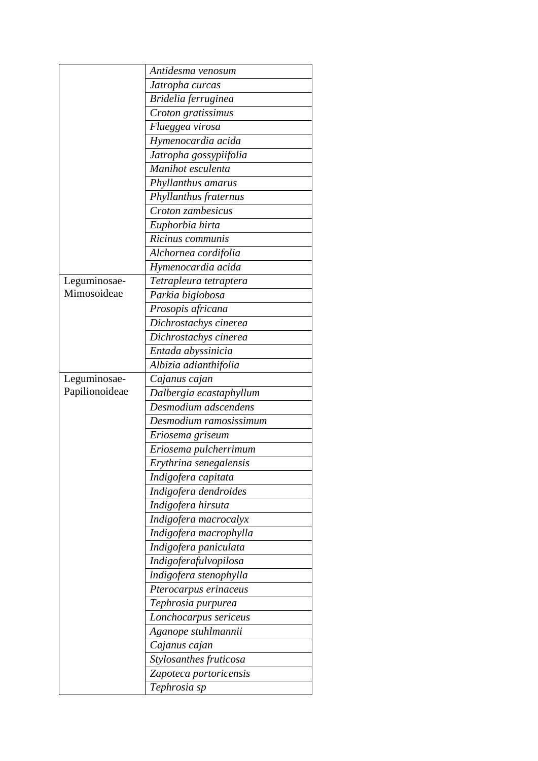|                | Antidesma venosum       |
|----------------|-------------------------|
|                | Jatropha curcas         |
|                | Bridelia ferruginea     |
|                | Croton gratissimus      |
|                | Flueggea virosa         |
|                | Hymenocardia acida      |
|                | Jatropha gossypiifolia  |
|                | Manihot esculenta       |
|                | Phyllanthus amarus      |
|                | Phyllanthus fraternus   |
|                | Croton zambesicus       |
|                | Euphorbia hirta         |
|                | Ricinus communis        |
|                | Alchornea cordifolia    |
|                | Hymenocardia acida      |
| Leguminosae-   | Tetrapleura tetraptera  |
| Mimosoideae    | Parkia biglobosa        |
|                | Prosopis africana       |
|                | Dichrostachys cinerea   |
|                | Dichrostachys cinerea   |
|                | Entada abyssinicia      |
|                | Albizia adianthifolia   |
| Leguminosae-   | Cajanus cajan           |
| Papilionoideae | Dalbergia ecastaphyllum |
|                | Desmodium adscendens    |
|                | Desmodium ramosissimum  |
|                | Eriosema griseum        |
|                | Eriosema pulcherrimum   |
|                | Erythrina senegalensis  |
|                | Indigofera capitata     |
|                | Indigofera dendroides   |
|                | Indigofera hirsuta      |
|                | Indigofera macrocalyx   |
|                | Indigofera macrophylla  |
|                | Indigofera paniculata   |
|                | Indigoferafulvopilosa   |
|                | Indigofera stenophylla  |
|                | Pterocarpus erinaceus   |
|                | Tephrosia purpurea      |
|                | Lonchocarpus sericeus   |
|                | Aganope stuhlmannii     |
|                | Cajanus cajan           |
|                | Stylosanthes fruticosa  |
|                | Zapoteca portoricensis  |
|                | Tephrosia sp            |
|                |                         |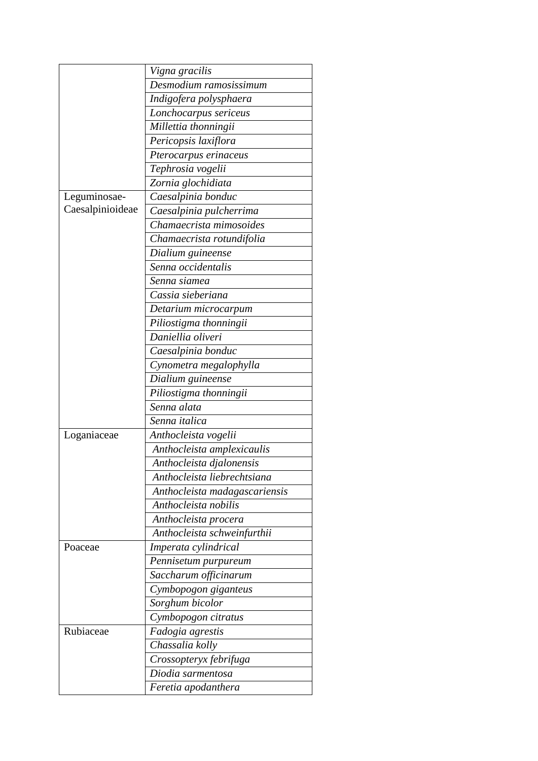|                  | Vigna gracilis                |
|------------------|-------------------------------|
|                  | Desmodium ramosissimum        |
|                  | Indigofera polysphaera        |
|                  | Lonchocarpus sericeus         |
|                  | Millettia thonningii          |
|                  | Pericopsis laxiflora          |
|                  | Pterocarpus erinaceus         |
|                  | Tephrosia vogelii             |
|                  | Zornia glochidiata            |
| Leguminosae-     | Caesalpinia bonduc            |
| Caesalpinioideae | Caesalpinia pulcherrima       |
|                  | Chamaecrista mimosoides       |
|                  | Chamaecrista rotundifolia     |
|                  | Dialium guineense             |
|                  | Senna occidentalis            |
|                  | Senna siamea                  |
|                  | Cassia sieberiana             |
|                  |                               |
|                  | Detarium microcarpum          |
|                  | Piliostigma thonningii        |
|                  | Daniellia oliveri             |
|                  | Caesalpinia bonduc            |
|                  | Cynometra megalophylla        |
|                  | Dialium guineense             |
|                  | Piliostigma thonningii        |
|                  | Senna alata                   |
|                  | Senna italica                 |
| Loganiaceae      | Anthocleista vogelii          |
|                  | Anthocleista amplexicaulis    |
|                  | Anthocleista djalonensis      |
|                  | Anthocleista liebrechtsiana   |
|                  | Anthocleista madagascariensis |
|                  | Anthocleista nobilis          |
|                  | Anthocleista procera          |
|                  | Anthocleista schweinfurthii   |
| Poaceae          | Imperata cylindrical          |
|                  | Pennisetum purpureum          |
|                  | Saccharum officinarum         |
|                  | Cymbopogon giganteus          |
|                  | Sorghum bicolor               |
|                  | Cymbopogon citratus           |
| Rubiaceae        | Fadogia agrestis              |
|                  | Chassalia kolly               |
|                  | Crossopteryx febrifuga        |
|                  | Diodia sarmentosa             |
|                  |                               |
|                  | Feretia apodanthera           |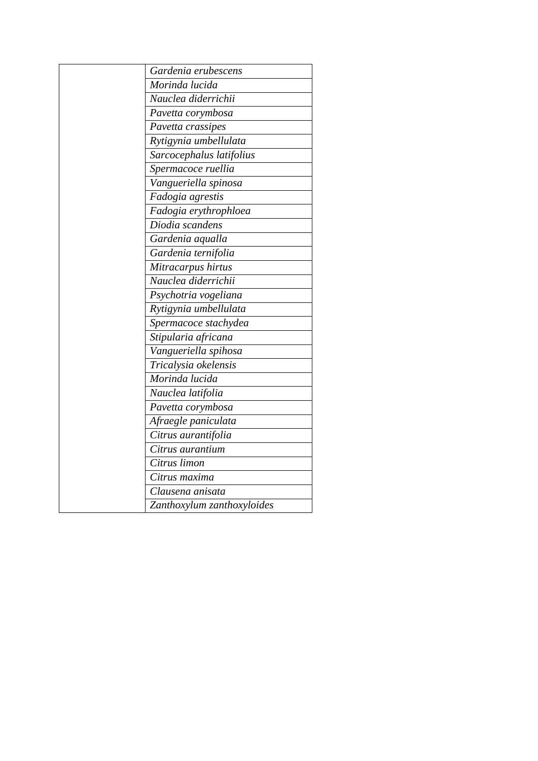| Gardenia erubescens        |
|----------------------------|
| Morinda lucida             |
| Nauclea diderrichii        |
| Pavetta corymbosa          |
| Pavetta crassipes          |
| Rytigynia umbellulata      |
| Sarcocephalus latifolius   |
| Spermacoce ruellia         |
| Vangueriella spinosa       |
| Fadogia agrestis           |
| Fadogia erythrophloea      |
| Diodia scandens            |
| Gardenia aqualla           |
| Gardenia ternifolia        |
| Mitracarpus hirtus         |
| Nauclea diderrichii        |
| Psychotria vogeliana       |
| Rytigynia umbellulata      |
| Spermacoce stachydea       |
| Stipularia africana        |
| Vangueriella spihosa       |
| Tricalysia okelensis       |
| Morinda lucida             |
| Nauclea latifolia          |
| Pavetta corymbosa          |
| Afraegle paniculata        |
| Citrus aurantifolia        |
| Citrus aurantium           |
| Citrus limon               |
| Citrus maxima              |
| Clausena anisata           |
| Zanthoxylum zanthoxyloides |
|                            |